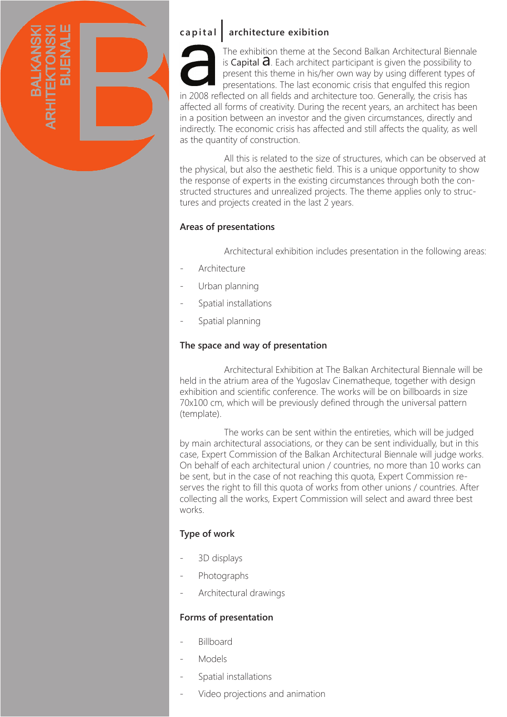

# **capital architecture exibition**

The exhibition theme at the Second Balkan Architectural Biennale is Capital  $\partial$ . Each architect participant is given the possibility to present this theme in his/her own way by using different types of presentations. The last economic crisis that engulfed this region in 2008 reflected on all fields and architecture too. Generally, the crisis has affected all forms of creativity. During the recent years, an architect has been in a position between an investor and the given circumstances, directly and indirectly. The economic crisis has affected and still affects the quality, as well as the quantity of construction.

 All this is related to the size of structures, which can be observed at the physical, but also the aesthetic field. This is a unique opportunity to show the response of experts in the existing circumstances through both the constructed structures and unrealized projects. The theme applies only to structures and projects created in the last 2 years.

#### **Areas of presentations**

Architectural exhibition includes presentation in the following areas:

- Architecture
- Urban planning
- Spatial installations
- Spatial planning

#### **The space and way of presentation**

 Architectural Exhibition at The Balkan Architectural Biennale will be held in the atrium area of the Yugoslav Cinematheque, together with design exhibition and scientific conference. The works will be on billboards in size 70x100 cm, which will be previously defined through the universal pattern (template).

 The works can be sent within the entireties, which will be judged by main architectural associations, or they can be sent individually, but in this case, Expert Commission of the Balkan Architectural Biennale will judge works. On behalf of each architectural union / countries, no more than 10 works can be sent, but in the case of not reaching this quota, Expert Commission reserves the right to fill this quota of works from other unions / countries. After collecting all the works, Expert Commission will select and award three best works.

#### **Type of work**

- 3D displays
- Photographs
- Architectural drawings

#### **Forms of presentation**

- Billboard
- **Models**
- Spatial installations
- Video projections and animation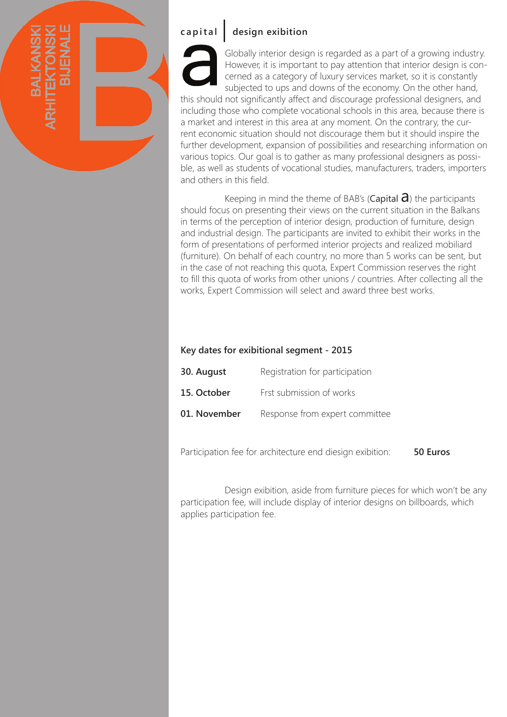

# **capital design exibition**

Globally interior design is regarded as a part of a growing industry. However, it is important to pay attention that interior design is concerned as a category of luxury services market, so it is constantly subjected to ups and downs of the economy. On the other hand, this should not significantly affect and discourage professional designers, and including those who complete vocational schools in this area, because there is a market and interest in this area at any moment. On the contrary, the cur-

rent economic situation should not discourage them but it should inspire the further development, expansion of possibilities and researching information on various topics. Our goal is to gather as many professional designers as possible, as well as students of vocational studies, manufacturers, traders, importers and others in this field.

Keeping in mind the theme of BAB's (Capital  $\partial$ ) the participants should focus on presenting their views on the current situation in the Balkans in terms of the perception of interior design, production of furniture, design and industrial design. The participants are invited to exhibit their works in the form of presentations of performed interior projects and realized mobiliard (furniture). On behalf of each country, no more than 5 works can be sent, but in the case of not reaching this quota, Expert Commission reserves the right to fill this quota of works from other unions / countries. After collecting all the works, Expert Commission will select and award three best works.

#### **Key dates for exibitional segment - 2015**

| 30. August   | Registration for participation |
|--------------|--------------------------------|
| 15. October  | Frst submission of works       |
| 01. November | Response from expert committee |

Participation fee for architecture end diesign exibition: **50 Еuros**

 Design exibition, aside from furniture pieces for which won't be any participation fee, will include display of interior designs on billboards, which applies participation fee.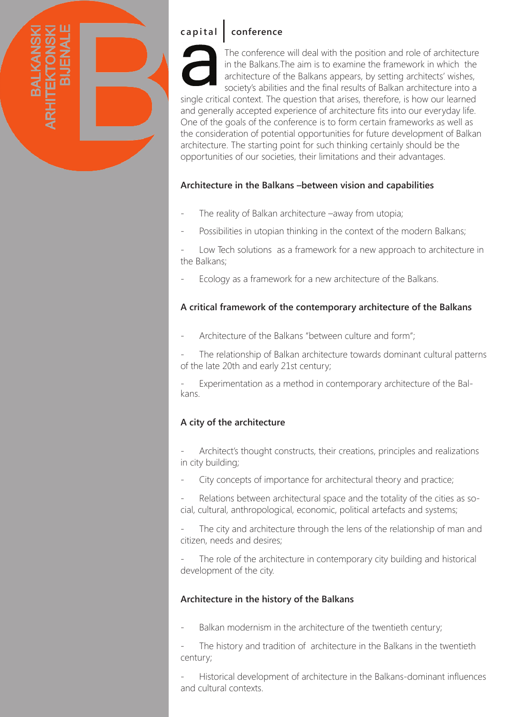

# **capital conference**

The conference will deal with the position and role of architecture in the Balkans.The aim is to examine the framework in which the architecture of the Balkans appears, by setting architects' wishes, society's abilities and the final results of Balkan architecture into a

single critical context. The question that arises, therefore, is how our learned and generally accepted experience of architecture fits into our everyday life. One of the goals of the conference is to form certain frameworks as well as the consideration of potential opportunities for future development of Balkan architecture. The starting point for such thinking certainly should be the opportunities of our societies, their limitations and their advantages.

#### **Architecture in the Balkans –between vision and capabilities**

- The reality of Balkan architecture –away from utopia;
- Possibilities in utopian thinking in the context of the modern Balkans;

Low Tech solutions as a framework for a new approach to architecture in the Balkans;

Ecology as a framework for a new architecture of the Balkans.

#### **A critical framework of the contemporary architecture of the Balkans**

Architecture of the Balkans "between culture and form";

The relationship of Balkan architecture towards dominant cultural patterns of the late 20th and early 21st century;

- Experimentation as a method in contemporary architecture of the Balkans.

### **A city of the architecture**

Architect's thought constructs, their creations, principles and realizations in city building;

City concepts of importance for architectural theory and practice;

Relations between architectural space and the totality of the cities as social, cultural, anthropological, economic, political artefacts and systems;

The city and architecture through the lens of the relationship of man and citizen, needs and desires;

The role of the architecture in contemporary city building and historical development of the city.

#### **Architecture in the history of the Balkans**

Balkan modernism in the architecture of the twentieth century;

The history and tradition of architecture in the Balkans in the twentieth century;

- Historical development of architecture in the Balkans-dominant influences and cultural contexts.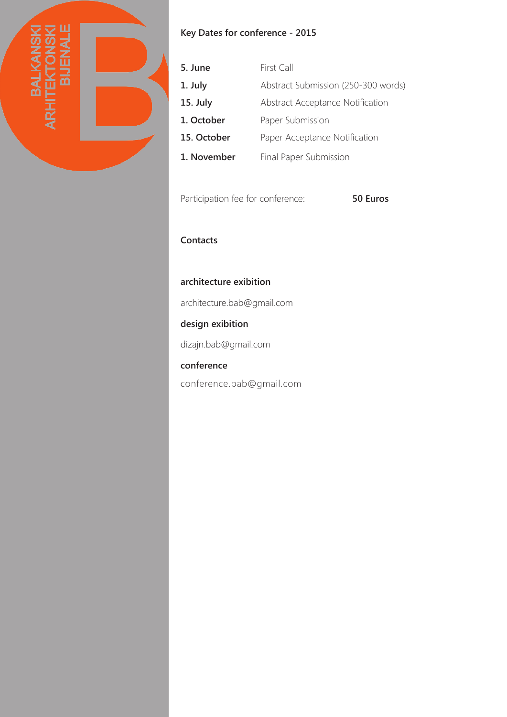

## **Key Dates for conference - 2015**

| 5. June     | First Call                          |
|-------------|-------------------------------------|
| 1. July     | Abstract Submission (250-300 words) |
| 15. July    | Abstract Acceptance Notification    |
| 1. October  | Paper Submission                    |
| 15. October | Paper Acceptance Notification       |
| 1. November | Final Paper Submission              |

Participation fee for conference: **50 Еuros**

### **Contacts**

#### **architecture exibition**

architecture.bab@gmail.com

# **design exibition**

dizajn.bab@gmail.com

#### **conference**

conference.bab@gmail.com